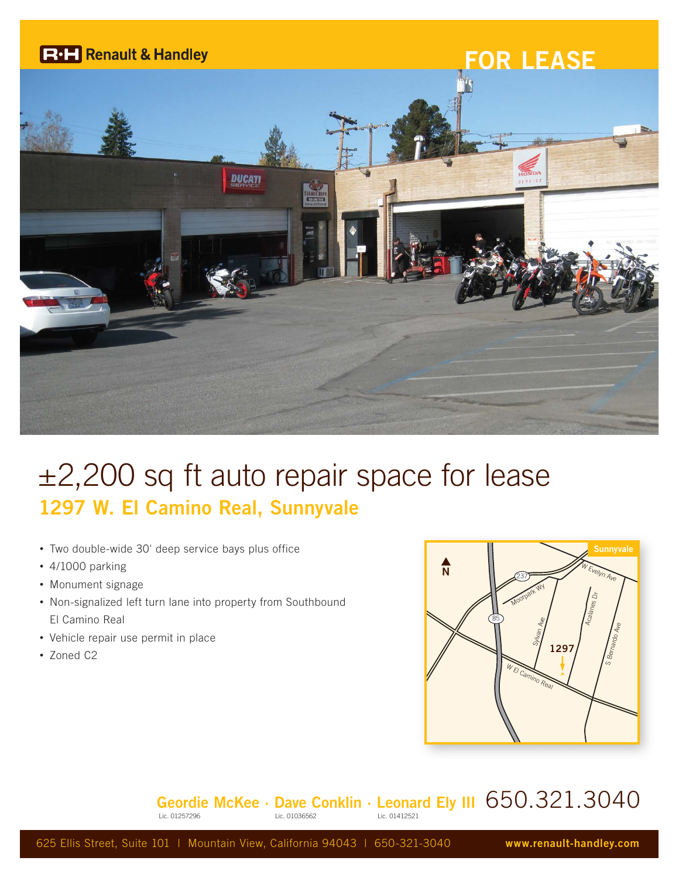

## $\pm 2,200$  sq ft auto repair space for lease **1297 W. El Camino Real, Sunnyvale**

- Two double-wide 30' deep service bays plus office
- 4/1000 parking
- Monument signage
- Non-signalized left turn lane into property from Southbound El Camino Real
- Vehicle repair use permit in place
- Zoned C2



## **Geordie McKee · Dave Conklin · Leonard Ely III** 650.321.3040

625 Ellis Street, Suite 101 | Mountain View, California 94043 | 650-321-3040 **www.renault-handley.com**